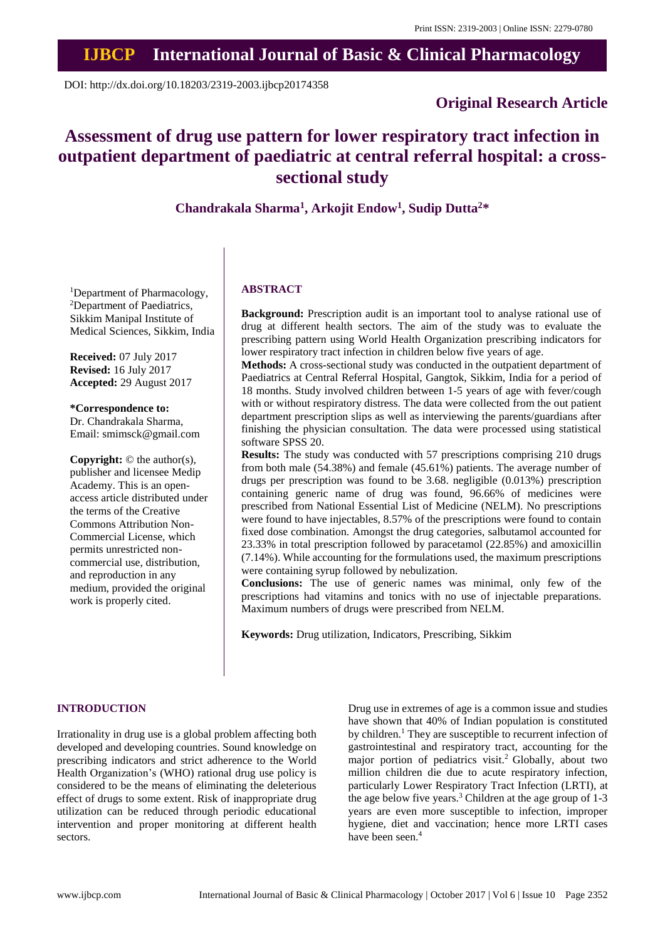# **IJBCP International Journal of Basic & Clinical Pharmacology**

DOI: http://dx.doi.org/10.18203/2319-2003.ijbcp20174358

## **Original Research Article**

# **Assessment of drug use pattern for lower respiratory tract infection in outpatient department of paediatric at central referral hospital: a crosssectional study**

**Chandrakala Sharma<sup>1</sup> , Arkojit Endow<sup>1</sup> , Sudip Dutta<sup>2</sup>\***

<sup>1</sup>Department of Pharmacology, <sup>2</sup>Department of Paediatrics, Sikkim Manipal Institute of Medical Sciences, Sikkim, India

**Received:** 07 July 2017 **Revised:** 16 July 2017 **Accepted:** 29 August 2017

**\*Correspondence to:** Dr. Chandrakala Sharma, Email: smimsck@gmail.com

**Copyright:** © the author(s), publisher and licensee Medip Academy. This is an openaccess article distributed under the terms of the Creative Commons Attribution Non-Commercial License, which permits unrestricted noncommercial use, distribution, and reproduction in any medium, provided the original work is properly cited.

## **ABSTRACT**

**Background:** Prescription audit is an important tool to analyse rational use of drug at different health sectors. The aim of the study was to evaluate the prescribing pattern using World Health Organization prescribing indicators for lower respiratory tract infection in children below five years of age.

**Methods:** A cross-sectional study was conducted in the outpatient department of Paediatrics at Central Referral Hospital, Gangtok, Sikkim, India for a period of 18 months. Study involved children between 1-5 years of age with fever/cough with or without respiratory distress. The data were collected from the out patient department prescription slips as well as interviewing the parents/guardians after finishing the physician consultation. The data were processed using statistical software SPSS 20.

**Results:** The study was conducted with 57 prescriptions comprising 210 drugs from both male (54.38%) and female (45.61%) patients. The average number of drugs per prescription was found to be 3.68. negligible (0.013%) prescription containing generic name of drug was found, 96.66% of medicines were prescribed from National Essential List of Medicine (NELM). No prescriptions were found to have injectables, 8.57% of the prescriptions were found to contain fixed dose combination. Amongst the drug categories, salbutamol accounted for 23.33% in total prescription followed by paracetamol (22.85%) and amoxicillin (7.14%). While accounting for the formulations used, the maximum prescriptions were containing syrup followed by nebulization.

**Conclusions:** The use of generic names was minimal, only few of the prescriptions had vitamins and tonics with no use of injectable preparations. Maximum numbers of drugs were prescribed from NELM.

**Keywords:** Drug utilization, Indicators, Prescribing, Sikkim

## **INTRODUCTION**

Irrationality in drug use is a global problem affecting both developed and developing countries. Sound knowledge on prescribing indicators and strict adherence to the World Health Organization's (WHO) rational drug use policy is considered to be the means of eliminating the deleterious effect of drugs to some extent. Risk of inappropriate drug utilization can be reduced through periodic educational intervention and proper monitoring at different health sectors.

Drug use in extremes of age is a common issue and studies have shown that 40% of Indian population is constituted by children.<sup>1</sup> They are susceptible to recurrent infection of gastrointestinal and respiratory tract, accounting for the major portion of pediatrics visit.<sup>2</sup> Globally, about two million children die due to acute respiratory infection, particularly Lower Respiratory Tract Infection (LRTI), at the age below five years.<sup>3</sup> Children at the age group of 1-3 years are even more susceptible to infection, improper hygiene, diet and vaccination; hence more LRTI cases have been seen.<sup>4</sup>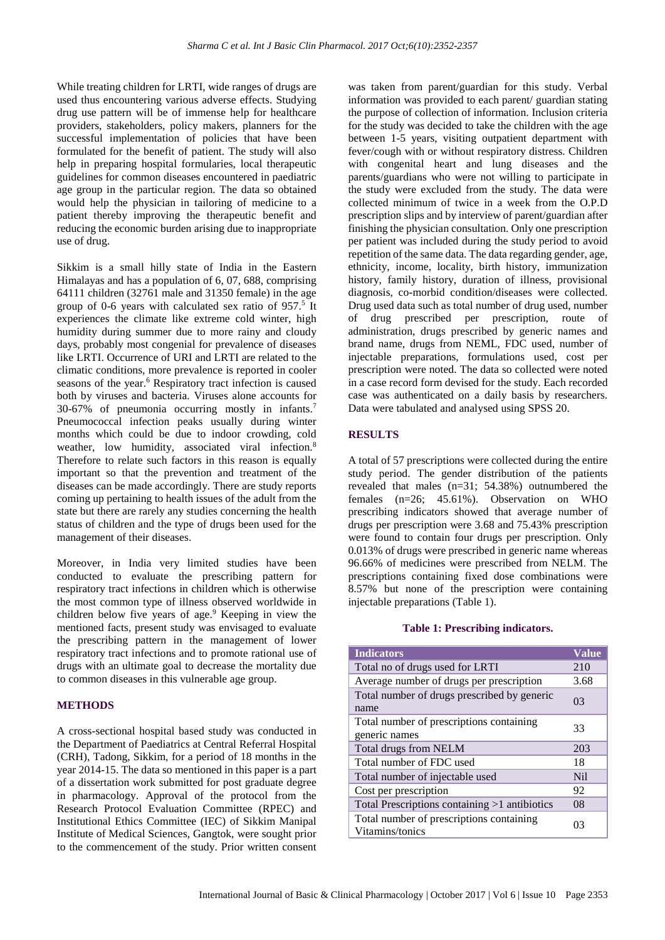While treating children for LRTI, wide ranges of drugs are used thus encountering various adverse effects. Studying drug use pattern will be of immense help for healthcare providers, stakeholders, policy makers, planners for the successful implementation of policies that have been formulated for the benefit of patient. The study will also help in preparing hospital formularies, local therapeutic guidelines for common diseases encountered in paediatric age group in the particular region. The data so obtained would help the physician in tailoring of medicine to a patient thereby improving the therapeutic benefit and reducing the economic burden arising due to inappropriate use of drug.

Sikkim is a small hilly state of India in the Eastern Himalayas and has a population of 6, 07, 688, comprising 64111 children (32761 male and 31350 female) in the age group of 0-6 years with calculated sex ratio of 957.<sup>5</sup> It experiences the climate like extreme cold winter, high humidity during summer due to more rainy and cloudy days, probably most congenial for prevalence of diseases like LRTI. Occurrence of URI and LRTI are related to the climatic conditions, more prevalence is reported in cooler seasons of the year.<sup>6</sup> Respiratory tract infection is caused both by viruses and bacteria. Viruses alone accounts for 30-67% of pneumonia occurring mostly in infants. 7 Pneumococcal infection peaks usually during winter months which could be due to indoor crowding, cold weather, low humidity, associated viral infection.<sup>8</sup> Therefore to relate such factors in this reason is equally important so that the prevention and treatment of the diseases can be made accordingly. There are study reports coming up pertaining to health issues of the adult from the state but there are rarely any studies concerning the health status of children and the type of drugs been used for the management of their diseases.

Moreover, in India very limited studies have been conducted to evaluate the prescribing pattern for respiratory tract infections in children which is otherwise the most common type of illness observed worldwide in children below five years of age.<sup>9</sup> Keeping in view the mentioned facts, present study was envisaged to evaluate the prescribing pattern in the management of lower respiratory tract infections and to promote rational use of drugs with an ultimate goal to decrease the mortality due to common diseases in this vulnerable age group.

## **METHODS**

A cross-sectional hospital based study was conducted in the Department of Paediatrics at Central Referral Hospital (CRH), Tadong, Sikkim, for a period of 18 months in the year 2014-15. The data so mentioned in this paper is a part of a dissertation work submitted for post graduate degree in pharmacology. Approval of the protocol from the Research Protocol Evaluation Committee (RPEC) and Institutional Ethics Committee (IEC) of Sikkim Manipal Institute of Medical Sciences, Gangtok, were sought prior to the commencement of the study. Prior written consent was taken from parent/guardian for this study. Verbal information was provided to each parent/ guardian stating the purpose of collection of information. Inclusion criteria for the study was decided to take the children with the age between 1-5 years, visiting outpatient department with fever/cough with or without respiratory distress. Children with congenital heart and lung diseases and the parents/guardians who were not willing to participate in the study were excluded from the study. The data were collected minimum of twice in a week from the O.P.D prescription slips and by interview of parent/guardian after finishing the physician consultation. Only one prescription per patient was included during the study period to avoid repetition of the same data. The data regarding gender, age, ethnicity, income, locality, birth history, immunization history, family history, duration of illness, provisional diagnosis, co-morbid condition/diseases were collected. Drug used data such as total number of drug used, number of drug prescribed per prescription, route of administration, drugs prescribed by generic names and brand name, drugs from NEML, FDC used, number of injectable preparations, formulations used, cost per prescription were noted. The data so collected were noted in a case record form devised for the study. Each recorded case was authenticated on a daily basis by researchers. Data were tabulated and analysed using SPSS 20.

## **RESULTS**

A total of 57 prescriptions were collected during the entire study period. The gender distribution of the patients revealed that males (n=31; 54.38%) outnumbered the females (n=26; 45.61%). Observation on WHO prescribing indicators showed that average number of drugs per prescription were 3.68 and 75.43% prescription were found to contain four drugs per prescription. Only 0.013% of drugs were prescribed in generic name whereas 96.66% of medicines were prescribed from NELM. The prescriptions containing fixed dose combinations were 8.57% but none of the prescription were containing injectable preparations (Table 1).

#### **Table 1: Prescribing indicators.**

| <b>Indicators</b>                                           | <b>Value</b> |
|-------------------------------------------------------------|--------------|
| Total no of drugs used for LRTI                             | 210          |
| Average number of drugs per prescription                    | 3.68         |
| Total number of drugs prescribed by generic<br>name         | 03           |
| Total number of prescriptions containing<br>generic names   | 33           |
| <b>Total drugs from NELM</b>                                | 203          |
| Total number of FDC used                                    | 18           |
| Total number of injectable used                             | <b>Nil</b>   |
| Cost per prescription                                       | 92           |
| Total Prescriptions containing >1 antibiotics               | 08           |
| Total number of prescriptions containing<br>Vitamins/tonics | 03           |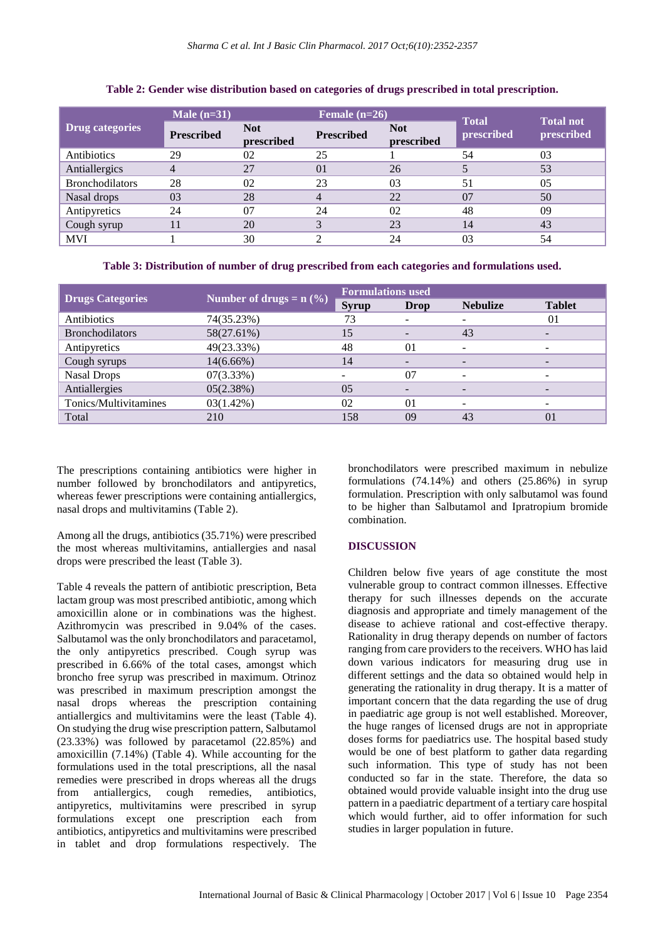|                        | Male $(n=31)$     |                          | Female $(n=26)$   |                          | <b>Total</b> | <b>Total not</b> |
|------------------------|-------------------|--------------------------|-------------------|--------------------------|--------------|------------------|
| <b>Drug categories</b> | <b>Prescribed</b> | <b>Not</b><br>prescribed | <b>Prescribed</b> | <b>Not</b><br>prescribed | prescribed   | prescribed       |
| Antibiotics            | 29                | 02                       | 25                |                          | 54           | 03               |
| Antiallergics          |                   | 27                       | 0 <sub>1</sub>    | 26                       |              | 53               |
| <b>Bronchodilators</b> | 28                | 02                       | 23                | 03                       | 51           | 05               |
| Nasal drops            | 03                | 28                       | 4                 | 22                       | 07           | 50               |
| Antipyretics           | 24                | 07                       | 24                | 02                       | 48           | 09               |
| Cough syrup            |                   | 20                       | 3                 | 23                       | 14           | 43               |
| <b>MVI</b>             |                   | 30                       |                   | 24                       | 03           | 54               |

## **Table 2: Gender wise distribution based on categories of drugs prescribed in total prescription.**

**Table 3: Distribution of number of drug prescribed from each categories and formulations used.**

| <b>Drugs Categories</b> | Number of drugs = $\overline{n}$ (%) | <b>Formulations used</b> |                          |                          |                          |
|-------------------------|--------------------------------------|--------------------------|--------------------------|--------------------------|--------------------------|
|                         |                                      | <b>Syrup</b>             | Drop                     | <b>Nebulize</b>          | <b>Tablet</b>            |
| Antibiotics             | 74(35.23%)                           | 73                       | $\overline{\phantom{a}}$ | -                        | 01                       |
| <b>Bronchodilators</b>  | 58(27.61%)                           | 15                       |                          | 43                       |                          |
| Antipyretics            | 49(23.33%)                           | 48                       | 0 <sub>1</sub>           | $\overline{\phantom{a}}$ | $\overline{\phantom{a}}$ |
| Cough syrups            | $14(6.66\%)$                         | 14                       | $\overline{\phantom{a}}$ |                          | $\overline{\phantom{a}}$ |
| <b>Nasal Drops</b>      | 07(3.33%)                            |                          | 07                       | $\overline{\phantom{0}}$ | $\overline{\phantom{a}}$ |
| Antiallergies           | 05(2.38%)                            | 0.5                      | $\overline{\phantom{a}}$ | -                        | $\overline{\phantom{0}}$ |
| Tonics/Multivitamines   | $03(1.42\%)$                         | 02                       | 0 <sub>1</sub>           |                          | -                        |
| Total                   | 210                                  | 158                      | 09                       | 43                       | $\Omega$                 |

The prescriptions containing antibiotics were higher in number followed by bronchodilators and antipyretics, whereas fewer prescriptions were containing antiallergics, nasal drops and multivitamins (Table 2).

Among all the drugs, antibiotics (35.71%) were prescribed the most whereas multivitamins, antiallergies and nasal drops were prescribed the least (Table 3).

Table 4 reveals the pattern of antibiotic prescription, Beta lactam group was most prescribed antibiotic, among which amoxicillin alone or in combinations was the highest. Azithromycin was prescribed in 9.04% of the cases. Salbutamol was the only bronchodilators and paracetamol, the only antipyretics prescribed. Cough syrup was prescribed in 6.66% of the total cases, amongst which broncho free syrup was prescribed in maximum. Otrinoz was prescribed in maximum prescription amongst the nasal drops whereas the prescription containing antiallergics and multivitamins were the least (Table 4). On studying the drug wise prescription pattern, Salbutamol (23.33%) was followed by paracetamol (22.85%) and amoxicillin (7.14%) (Table 4). While accounting for the formulations used in the total prescriptions, all the nasal remedies were prescribed in drops whereas all the drugs from antiallergics, cough remedies, antibiotics, antipyretics, multivitamins were prescribed in syrup formulations except one prescription each from antibiotics, antipyretics and multivitamins were prescribed in tablet and drop formulations respectively. The bronchodilators were prescribed maximum in nebulize formulations  $(74.14\%)$  and others  $(25.86\%)$  in syrup formulation. Prescription with only salbutamol was found to be higher than Salbutamol and Ipratropium bromide combination.

## **DISCUSSION**

Children below five years of age constitute the most vulnerable group to contract common illnesses. Effective therapy for such illnesses depends on the accurate diagnosis and appropriate and timely management of the disease to achieve rational and cost-effective therapy. Rationality in drug therapy depends on number of factors ranging from care providers to the receivers. WHO has laid down various indicators for measuring drug use in different settings and the data so obtained would help in generating the rationality in drug therapy. It is a matter of important concern that the data regarding the use of drug in paediatric age group is not well established. Moreover, the huge ranges of licensed drugs are not in appropriate doses forms for paediatrics use. The hospital based study would be one of best platform to gather data regarding such information. This type of study has not been conducted so far in the state. Therefore, the data so obtained would provide valuable insight into the drug use pattern in a paediatric department of a tertiary care hospital which would further, aid to offer information for such studies in larger population in future.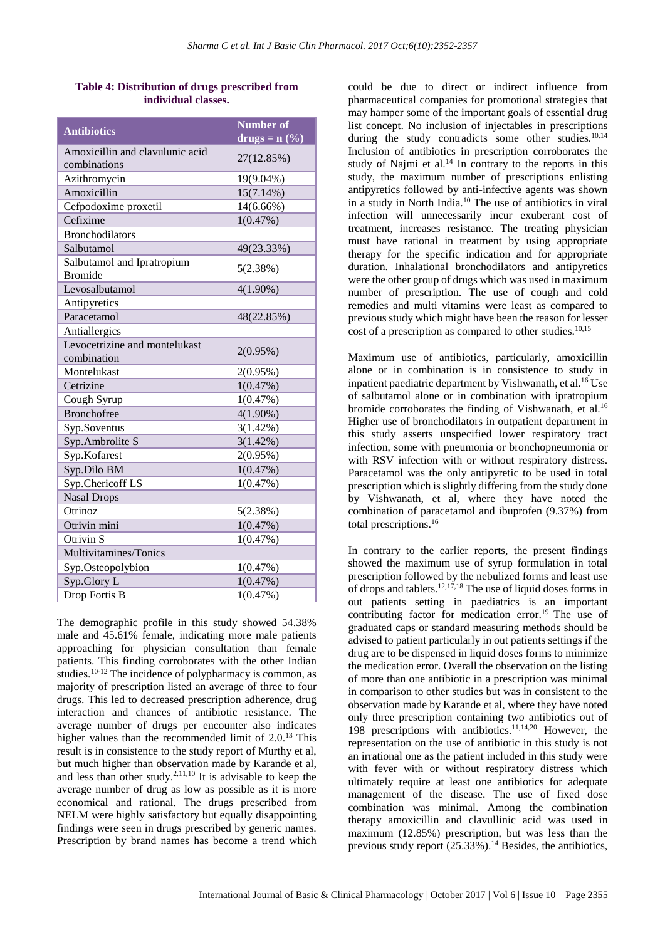## **Table 4: Distribution of drugs prescribed from individual classes.**

| <b>Antibiotics</b>                              | <b>Number of</b><br>$\mathbf{drugs} = \mathbf{n} (\sqrt{\frac{6}{6}})$ |
|-------------------------------------------------|------------------------------------------------------------------------|
| Amoxicillin and clavulunic acid<br>combinations | 27(12.85%)                                                             |
| Azithromycin                                    | 19(9.04%)                                                              |
| Amoxicillin                                     | $15(7.14\%)$                                                           |
| Cefpodoxime proxetil                            | 14(6.66%)                                                              |
| Cefixime                                        | 1(0.47%)                                                               |
| <b>Bronchodilators</b>                          |                                                                        |
| Salbutamol                                      | 49(23.33%)                                                             |
| Salbutamol and Ipratropium                      | 5(2.38%)                                                               |
| <b>Bromide</b>                                  |                                                                        |
| Levosalbutamol                                  | $4(1.90\%)$                                                            |
| Antipyretics                                    |                                                                        |
| Paracetamol                                     | 48(22.85%)                                                             |
| Antiallergics                                   |                                                                        |
| Levocetrizine and montelukast                   | $2(0.95\%)$                                                            |
| combination                                     |                                                                        |
| Montelukast                                     | 2(0.95%)                                                               |
| Cetrizine                                       | 1(0.47%)                                                               |
| Cough Syrup                                     | 1(0.47%)                                                               |
| <b>Bronchofree</b>                              | $4(1.90\%)$                                                            |
| Syp.Soventus                                    | $3(1.42\%)$                                                            |
| Syp.Ambrolite S                                 | $3(1.42\%)$                                                            |
| Syp.Kofarest                                    | 2(0.95%)                                                               |
| Syp.Dilo BM                                     | 1(0.47%)                                                               |
| Syp.Chericoff LS                                | 1(0.47%)                                                               |
| <b>Nasal Drops</b>                              |                                                                        |
| Otrinoz                                         | 5(2.38%)                                                               |
| Otrivin mini                                    | 1(0.47%)                                                               |
| Otrivin S                                       | 1(0.47%)                                                               |
| Multivitamines/Tonics                           |                                                                        |
| Syp.Osteopolybion                               | 1(0.47%)                                                               |
| Syp.Glory L                                     | 1(0.47%)                                                               |
| Drop Fortis B                                   | 1(0.47%)                                                               |

The demographic profile in this study showed 54.38% male and 45.61% female, indicating more male patients approaching for physician consultation than female patients. This finding corroborates with the other Indian studies.10-12 The incidence of polypharmacy is common, as majority of prescription listed an average of three to four drugs. This led to decreased prescription adherence, drug interaction and chances of antibiotic resistance. The average number of drugs per encounter also indicates higher values than the recommended limit of 2.0.<sup>13</sup> This result is in consistence to the study report of Murthy et al, but much higher than observation made by Karande et al, and less than other study.<sup>2,11,10</sup> It is advisable to keep the average number of drug as low as possible as it is more economical and rational. The drugs prescribed from NELM were highly satisfactory but equally disappointing findings were seen in drugs prescribed by generic names. Prescription by brand names has become a trend which could be due to direct or indirect influence from pharmaceutical companies for promotional strategies that may hamper some of the important goals of essential drug list concept. No inclusion of injectables in prescriptions during the study contradicts some other studies.<sup>10,14</sup> Inclusion of antibiotics in prescription corroborates the study of Najmi et al.<sup>14</sup> In contrary to the reports in this study, the maximum number of prescriptions enlisting antipyretics followed by anti-infective agents was shown in a study in North India.<sup>10</sup> The use of antibiotics in viral infection will unnecessarily incur exuberant cost of treatment, increases resistance. The treating physician must have rational in treatment by using appropriate therapy for the specific indication and for appropriate duration. Inhalational bronchodilators and antipyretics were the other group of drugs which was used in maximum number of prescription. The use of cough and cold remedies and multi vitamins were least as compared to previous study which might have been the reason for lesser cost of a prescription as compared to other studies.<sup>10,15</sup>

Maximum use of antibiotics, particularly, amoxicillin alone or in combination is in consistence to study in inpatient paediatric department by Vishwanath, et al.<sup>16</sup> Use of salbutamol alone or in combination with ipratropium bromide corroborates the finding of Vishwanath, et al.<sup>16</sup> Higher use of bronchodilators in outpatient department in this study asserts unspecified lower respiratory tract infection, some with pneumonia or bronchopneumonia or with RSV infection with or without respiratory distress. Paracetamol was the only antipyretic to be used in total prescription which is slightly differing from the study done by Vishwanath, et al, where they have noted the combination of paracetamol and ibuprofen (9.37%) from total prescriptions.<sup>16</sup>

In contrary to the earlier reports, the present findings showed the maximum use of syrup formulation in total prescription followed by the nebulized forms and least use of drops and tablets.<sup>12,17,18</sup> The use of liquid doses forms in out patients setting in paediatrics is an important contributing factor for medication error.<sup>19</sup> The use of graduated caps or standard measuring methods should be advised to patient particularly in out patients settings if the drug are to be dispensed in liquid doses forms to minimize the medication error. Overall the observation on the listing of more than one antibiotic in a prescription was minimal in comparison to other studies but was in consistent to the observation made by Karande et al, where they have noted only three prescription containing two antibiotics out of 198 prescriptions with antibiotics.11,14,20 However, the representation on the use of antibiotic in this study is not an irrational one as the patient included in this study were with fever with or without respiratory distress which ultimately require at least one antibiotics for adequate management of the disease. The use of fixed dose combination was minimal. Among the combination therapy amoxicillin and clavullinic acid was used in maximum (12.85%) prescription, but was less than the previous study report  $(25.33\%)$ .<sup>14</sup> Besides, the antibiotics,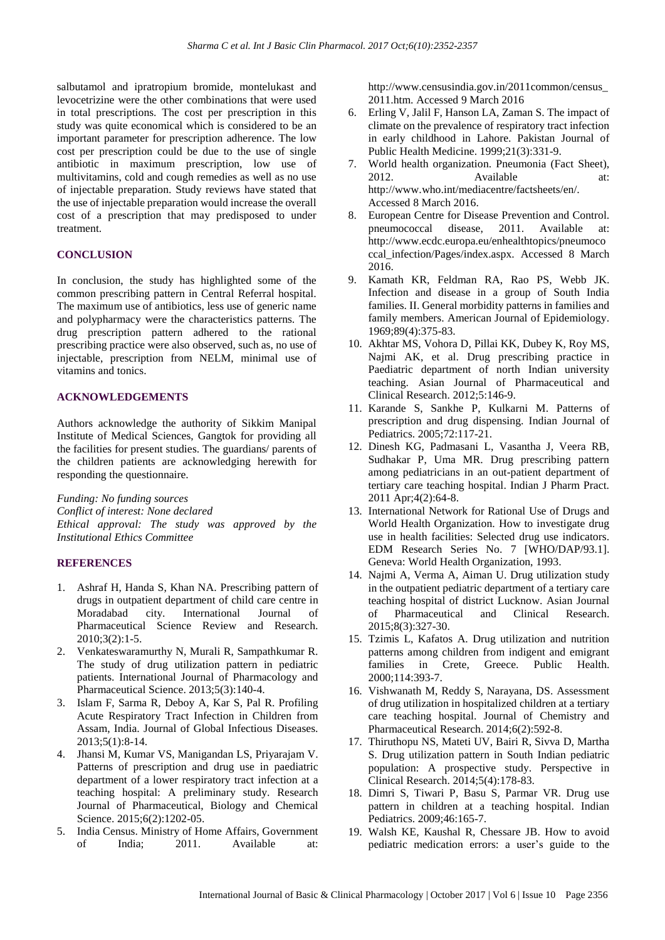salbutamol and ipratropium bromide, montelukast and levocetrizine were the other combinations that were used in total prescriptions. The cost per prescription in this study was quite economical which is considered to be an important parameter for prescription adherence. The low cost per prescription could be due to the use of single antibiotic in maximum prescription, low use of multivitamins, cold and cough remedies as well as no use of injectable preparation. Study reviews have stated that the use of injectable preparation would increase the overall cost of a prescription that may predisposed to under treatment.

## **CONCLUSION**

In conclusion, the study has highlighted some of the common prescribing pattern in Central Referral hospital. The maximum use of antibiotics, less use of generic name and polypharmacy were the characteristics patterns. The drug prescription pattern adhered to the rational prescribing practice were also observed, such as, no use of injectable, prescription from NELM, minimal use of vitamins and tonics.

## **ACKNOWLEDGEMENTS**

Authors acknowledge the authority of Sikkim Manipal Institute of Medical Sciences, Gangtok for providing all the facilities for present studies. The guardians/ parents of the children patients are acknowledging herewith for responding the questionnaire.

*Funding: No funding sources Conflict of interest: None declared Ethical approval: The study was approved by the Institutional Ethics Committee*

## **REFERENCES**

- 1. Ashraf H, Handa S, Khan NA. Prescribing pattern of drugs in outpatient department of child care centre in Moradabad city. International Journal of Pharmaceutical Science Review and Research. 2010;3(2):1-5.
- 2. Venkateswaramurthy N, Murali R, Sampathkumar R. The study of drug utilization pattern in pediatric patients. International Journal of Pharmacology and Pharmaceutical Science. 2013;5(3):140-4.
- 3. Islam F, Sarma R, Deboy A, Kar S, Pal R. Profiling Acute Respiratory Tract Infection in Children from Assam, India. Journal of Global Infectious Diseases. 2013;5(1):8-14.
- 4. Jhansi M, Kumar VS, Manigandan LS, Priyarajam V. Patterns of prescription and drug use in paediatric department of a lower respiratory tract infection at a teaching hospital: A preliminary study. Research Journal of Pharmaceutical, Biology and Chemical Science. 2015;6(2):1202-05.
- 5. India Census. Ministry of Home Affairs, Government of India; 2011. Available at:

http://www.censusindia.gov.in/2011common/census\_ 2011.htm. Accessed 9 March 2016

- 6. Erling V, Jalil F, Hanson LA, Zaman S. The impact of climate on the prevalence of respiratory tract infection in early childhood in Lahore. Pakistan Journal of Public Health Medicine. 1999;21(3):331-9.
- 7. World health organization. Pneumonia (Fact Sheet), 2012. Available at: http://www.who.int/mediacentre/factsheets/en/. Accessed 8 March 2016.
- 8. European Centre for Disease Prevention and Control. pneumococcal disease, 2011. Available at: http://www.ecdc.europa.eu/enhealthtopics/pneumoco ccal\_infection/Pages/index.aspx. Accessed 8 March 2016.
- 9. Kamath KR, Feldman RA, Rao PS, Webb JK. Infection and disease in a group of South India families. II. General morbidity patterns in families and family members. American Journal of Epidemiology. 1969;89(4):375-83.
- 10. Akhtar MS, Vohora D, Pillai KK, Dubey K, Roy MS, Najmi AK, et al. Drug prescribing practice in Paediatric department of north Indian university teaching. Asian Journal of Pharmaceutical and Clinical Research. 2012;5:146-9.
- 11. Karande S, Sankhe P, Kulkarni M. Patterns of prescription and drug dispensing. Indian Journal of Pediatrics. 2005;72:117-21.
- 12. Dinesh KG, Padmasani L, Vasantha J, Veera RB, Sudhakar P, Uma MR. Drug prescribing pattern among pediatricians in an out-patient department of tertiary care teaching hospital. Indian J Pharm Pract. 2011 Apr;4(2):64-8.
- 13. International Network for Rational Use of Drugs and World Health Organization. How to investigate drug use in health facilities: Selected drug use indicators. EDM Research Series No. 7 [WHO/DAP/93.1]. Geneva: World Health Organization, 1993.
- 14. Najmi A, Verma A, Aiman U. Drug utilization study in the outpatient pediatric department of a tertiary care teaching hospital of district Lucknow. Asian Journal of Pharmaceutical and Clinical Research. 2015;8(3):327-30.
- 15. Tzimis L, Kafatos A. Drug utilization and nutrition patterns among children from indigent and emigrant families in Crete, Greece. Public Health. 2000;114:393-7.
- 16. Vishwanath M, Reddy S, Narayana, DS. Assessment of drug utilization in hospitalized children at a tertiary care teaching hospital. Journal of Chemistry and Pharmaceutical Research. 2014;6(2):592-8.
- 17. Thiruthopu NS, Mateti UV, Bairi R, Sivva D, Martha S. Drug utilization pattern in South Indian pediatric population: A prospective study. Perspective in Clinical Research. 2014;5(4):178-83.
- 18. Dimri S, Tiwari P, Basu S, Parmar VR. Drug use pattern in children at a teaching hospital. Indian Pediatrics. 2009;46:165-7.
- 19. Walsh KE, Kaushal R, Chessare JB. How to avoid pediatric medication errors: a user's guide to the